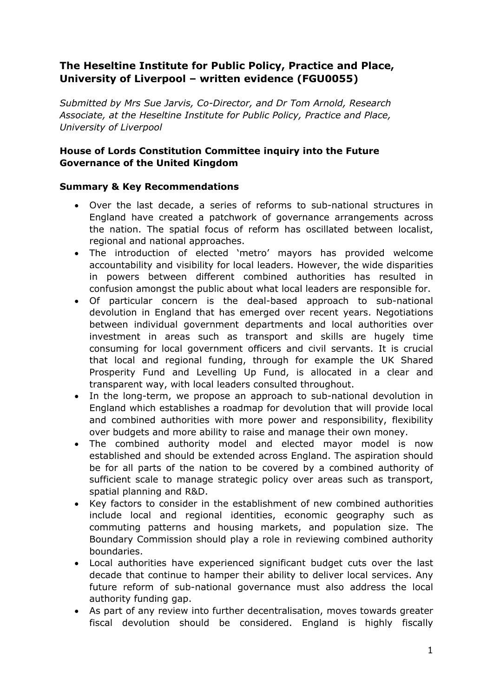# **The Heseltine Institute for Public Policy, Practice and Place, University of Liverpool – written evidence (FGU0055)**

*Submitted by Mrs Sue Jarvis, Co-Director, and Dr Tom Arnold, Research Associate, at the Heseltine Institute for Public Policy, Practice and Place, University of Liverpool*

## **House of Lords Constitution Committee inquiry into the Future Governance of the United Kingdom**

## **Summary & Key Recommendations**

- Over the last decade, a series of reforms to sub-national structures in England have created a patchwork of governance arrangements across the nation. The spatial focus of reform has oscillated between localist, regional and national approaches.
- The introduction of elected 'metro' mayors has provided welcome accountability and visibility for local leaders. However, the wide disparities in powers between different combined authorities has resulted in confusion amongst the public about what local leaders are responsible for.
- Of particular concern is the deal-based approach to sub-national devolution in England that has emerged over recent years. Negotiations between individual government departments and local authorities over investment in areas such as transport and skills are hugely time consuming for local government officers and civil servants. It is crucial that local and regional funding, through for example the UK Shared Prosperity Fund and Levelling Up Fund, is allocated in a clear and transparent way, with local leaders consulted throughout.
- In the long-term, we propose an approach to sub-national devolution in England which establishes a roadmap for devolution that will provide local and combined authorities with more power and responsibility, flexibility over budgets and more ability to raise and manage their own money.
- The combined authority model and elected mayor model is now established and should be extended across England. The aspiration should be for all parts of the nation to be covered by a combined authority of sufficient scale to manage strategic policy over areas such as transport, spatial planning and R&D.
- Key factors to consider in the establishment of new combined authorities include local and regional identities, economic geography such as commuting patterns and housing markets, and population size. The Boundary Commission should play a role in reviewing combined authority boundaries.
- Local authorities have experienced significant budget cuts over the last decade that continue to hamper their ability to deliver local services. Any future reform of sub-national governance must also address the local authority funding gap.
- As part of any review into further decentralisation, moves towards greater fiscal devolution should be considered. England is highly fiscally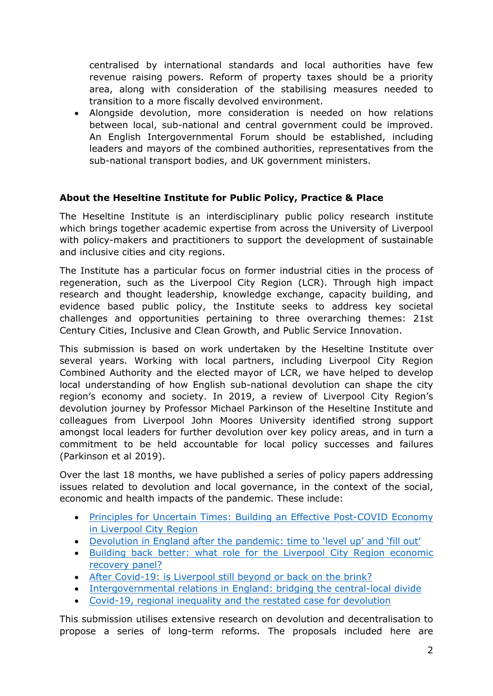centralised by international standards and local authorities have few revenue raising powers. Reform of property taxes should be a priority area, along with consideration of the stabilising measures needed to transition to a more fiscally devolved environment.

 Alongside devolution, more consideration is needed on how relations between local, sub-national and central government could be improved. An English Intergovernmental Forum should be established, including leaders and mayors of the combined authorities, representatives from the sub-national transport bodies, and UK government ministers.

## **About the Heseltine Institute for Public Policy, Practice & Place**

The Heseltine Institute is an interdisciplinary public policy research institute which brings together academic expertise from across the University of Liverpool with policy-makers and practitioners to support the development of sustainable and inclusive cities and city regions.

The Institute has a particular focus on former industrial cities in the process of regeneration, such as the Liverpool City Region (LCR). Through high impact research and thought leadership, knowledge exchange, capacity building, and evidence based public policy, the Institute seeks to address key societal challenges and opportunities pertaining to three overarching themes: 21st Century Cities, Inclusive and Clean Growth, and Public Service Innovation.

This submission is based on work undertaken by the Heseltine Institute over several years. Working with local partners, including Liverpool City Region Combined Authority and the elected mayor of LCR, we have helped to develop local understanding of how English sub-national devolution can shape the city region's economy and society. In 2019, a review of Liverpool City Region's devolution journey by Professor Michael Parkinson of the Heseltine Institute and colleagues from Liverpool John Moores University identified strong support amongst local leaders for further devolution over key policy areas, and in turn a commitment to be held accountable for local policy successes and failures (Parkinson et al 2019).

Over the last 18 months, we have published a series of policy papers addressing issues related to devolution and local governance, in the context of the social, economic and health impacts of the pandemic. These include:

- [Principles](https://www.liverpool.ac.uk/heseltine-institute/policybriefs/policybrief005/#d.en.1204551) [for](https://www.liverpool.ac.uk/heseltine-institute/policybriefs/policybrief005/#d.en.1204551) [Uncertain](https://www.liverpool.ac.uk/heseltine-institute/policybriefs/policybrief005/#d.en.1204551) [Times:](https://www.liverpool.ac.uk/heseltine-institute/policybriefs/policybrief005/#d.en.1204551) [Building](https://www.liverpool.ac.uk/heseltine-institute/policybriefs/policybrief005/#d.en.1204551) [an](https://www.liverpool.ac.uk/heseltine-institute/policybriefs/policybrief005/#d.en.1204551) [Effective](https://www.liverpool.ac.uk/heseltine-institute/policybriefs/policybrief005/#d.en.1204551) [Post-COVID](https://www.liverpool.ac.uk/heseltine-institute/policybriefs/policybrief005/#d.en.1204551) [Economy](https://www.liverpool.ac.uk/heseltine-institute/policybriefs/policybrief005/#d.en.1204551) [in](https://www.liverpool.ac.uk/heseltine-institute/policybriefs/policybrief005/#d.en.1204551) [Liverpool](https://www.liverpool.ac.uk/heseltine-institute/policybriefs/policybrief005/#d.en.1204551) [City](https://www.liverpool.ac.uk/heseltine-institute/policybriefs/policybrief005/#d.en.1204551) [Region](https://www.liverpool.ac.uk/heseltine-institute/policybriefs/policybrief005/#d.en.1204551)
- [Devolution](https://www.liverpool.ac.uk/heseltine-institute/policybriefs/policybrief008/#d.en.1205173) [in](https://www.liverpool.ac.uk/heseltine-institute/policybriefs/policybrief008/#d.en.1205173) [England](https://www.liverpool.ac.uk/heseltine-institute/policybriefs/policybrief008/#d.en.1205173) [after](https://www.liverpool.ac.uk/heseltine-institute/policybriefs/policybrief008/#d.en.1205173) [the](https://www.liverpool.ac.uk/heseltine-institute/policybriefs/policybrief008/#d.en.1205173) [pandemic:](https://www.liverpool.ac.uk/heseltine-institute/policybriefs/policybrief008/#d.en.1205173) [time](https://www.liverpool.ac.uk/heseltine-institute/policybriefs/policybrief008/#d.en.1205173) [to](https://www.liverpool.ac.uk/heseltine-institute/policybriefs/policybrief008/#d.en.1205173) ['level](https://www.liverpool.ac.uk/heseltine-institute/policybriefs/policybrief008/#d.en.1205173) [up'](https://www.liverpool.ac.uk/heseltine-institute/policybriefs/policybrief008/#d.en.1205173) [and](https://www.liverpool.ac.uk/heseltine-institute/policybriefs/policybrief008/#d.en.1205173) ['fill](https://www.liverpool.ac.uk/heseltine-institute/policybriefs/policybrief008/#d.en.1205173) [out'](https://www.liverpool.ac.uk/heseltine-institute/policybriefs/policybrief008/#d.en.1205173)
- [Building](https://www.liverpool.ac.uk/heseltine-institute/policybriefs/policybrief009/#d.en.1205749) [back](https://www.liverpool.ac.uk/heseltine-institute/policybriefs/policybrief009/#d.en.1205749) [better:](https://www.liverpool.ac.uk/heseltine-institute/policybriefs/policybrief009/#d.en.1205749) [what](https://www.liverpool.ac.uk/heseltine-institute/policybriefs/policybrief009/#d.en.1205749) [role](https://www.liverpool.ac.uk/heseltine-institute/policybriefs/policybrief009/#d.en.1205749) [for](https://www.liverpool.ac.uk/heseltine-institute/policybriefs/policybrief009/#d.en.1205749) [the](https://www.liverpool.ac.uk/heseltine-institute/policybriefs/policybrief009/#d.en.1205749) [Liverpool](https://www.liverpool.ac.uk/heseltine-institute/policybriefs/policybrief009/#d.en.1205749) [City](https://www.liverpool.ac.uk/heseltine-institute/policybriefs/policybrief009/#d.en.1205749) [Region](https://www.liverpool.ac.uk/heseltine-institute/policybriefs/policybrief009/#d.en.1205749) [economic](https://www.liverpool.ac.uk/heseltine-institute/policybriefs/policybrief009/#d.en.1205749) [recovery](https://www.liverpool.ac.uk/heseltine-institute/policybriefs/policybrief009/#d.en.1205749) [panel?](https://www.liverpool.ac.uk/heseltine-institute/policybriefs/policybrief009/#d.en.1205749)
- [After](https://www.liverpool.ac.uk/heseltine-institute/policybriefs/policybrief014/#d.en.1207755) [Covid-19:](https://www.liverpool.ac.uk/heseltine-institute/policybriefs/policybrief014/#d.en.1207755) [is](https://www.liverpool.ac.uk/heseltine-institute/policybriefs/policybrief014/#d.en.1207755) [Liverpool](https://www.liverpool.ac.uk/heseltine-institute/policybriefs/policybrief014/#d.en.1207755) [still](https://www.liverpool.ac.uk/heseltine-institute/policybriefs/policybrief014/#d.en.1207755) [beyond](https://www.liverpool.ac.uk/heseltine-institute/policybriefs/policybrief014/#d.en.1207755) [or](https://www.liverpool.ac.uk/heseltine-institute/policybriefs/policybrief014/#d.en.1207755) [back](https://www.liverpool.ac.uk/heseltine-institute/policybriefs/policybrief014/#d.en.1207755) [on](https://www.liverpool.ac.uk/heseltine-institute/policybriefs/policybrief014/#d.en.1207755) [the](https://www.liverpool.ac.uk/heseltine-institute/policybriefs/policybrief014/#d.en.1207755) [brink?](https://www.liverpool.ac.uk/heseltine-institute/policybriefs/policybrief014/#d.en.1207755)
- [Intergovernmental](https://www.liverpool.ac.uk/heseltine-institute/policybriefs/policybrief029/#d.en.1232523) [relations](https://www.liverpool.ac.uk/heseltine-institute/policybriefs/policybrief029/#d.en.1232523) [in](https://www.liverpool.ac.uk/heseltine-institute/policybriefs/policybrief029/#d.en.1232523) [England:](https://www.liverpool.ac.uk/heseltine-institute/policybriefs/policybrief029/#d.en.1232523) [bridging](https://www.liverpool.ac.uk/heseltine-institute/policybriefs/policybrief029/#d.en.1232523) [the](https://www.liverpool.ac.uk/heseltine-institute/policybriefs/policybrief029/#d.en.1232523) [central-local](https://www.liverpool.ac.uk/heseltine-institute/policybriefs/policybrief029/#d.en.1232523) [divide](https://www.liverpool.ac.uk/heseltine-institute/policybriefs/policybrief029/#d.en.1232523)
- [Covid-19,](https://www.liverpool.ac.uk/heseltine-institute/policybriefs/policybrief038/#d.en.1250575) [regional](https://www.liverpool.ac.uk/heseltine-institute/policybriefs/policybrief038/#d.en.1250575) [inequality](https://www.liverpool.ac.uk/heseltine-institute/policybriefs/policybrief038/#d.en.1250575) [and](https://www.liverpool.ac.uk/heseltine-institute/policybriefs/policybrief038/#d.en.1250575) [the](https://www.liverpool.ac.uk/heseltine-institute/policybriefs/policybrief038/#d.en.1250575) [restated](https://www.liverpool.ac.uk/heseltine-institute/policybriefs/policybrief038/#d.en.1250575) [case](https://www.liverpool.ac.uk/heseltine-institute/policybriefs/policybrief038/#d.en.1250575) [for](https://www.liverpool.ac.uk/heseltine-institute/policybriefs/policybrief038/#d.en.1250575) [devolution](https://www.liverpool.ac.uk/heseltine-institute/policybriefs/policybrief038/#d.en.1250575)

This submission utilises extensive research on devolution and decentralisation to propose a series of long-term reforms. The proposals included here are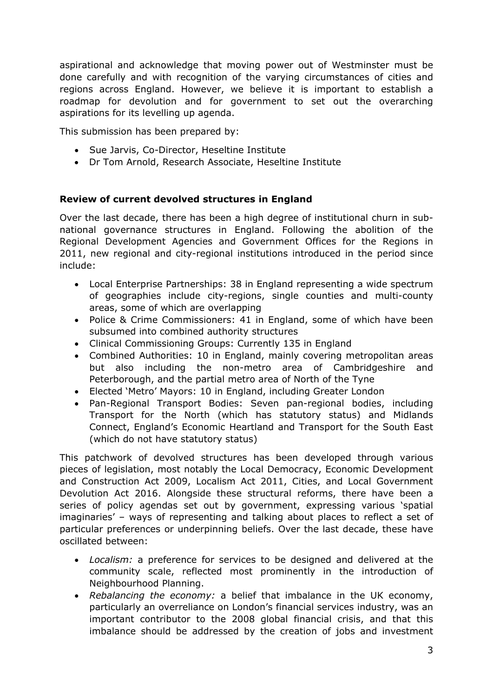aspirational and acknowledge that moving power out of Westminster must be done carefully and with recognition of the varying circumstances of cities and regions across England. However, we believe it is important to establish a roadmap for devolution and for government to set out the overarching aspirations for its levelling up agenda.

This submission has been prepared by:

- Sue Jarvis, Co-Director, Heseltine Institute
- Dr Tom Arnold, Research Associate, Heseltine Institute

## **Review of current devolved structures in England**

Over the last decade, there has been a high degree of institutional churn in subnational governance structures in England. Following the abolition of the Regional Development Agencies and Government Offices for the Regions in 2011, new regional and city-regional institutions introduced in the period since include:

- Local Enterprise Partnerships: 38 in England representing a wide spectrum of geographies include city-regions, single counties and multi-county areas, some of which are overlapping
- Police & Crime Commissioners: 41 in England, some of which have been subsumed into combined authority structures
- Clinical Commissioning Groups: Currently 135 in England
- Combined Authorities: 10 in England, mainly covering metropolitan areas but also including the non-metro area of Cambridgeshire and Peterborough, and the partial metro area of North of the Tyne
- Elected 'Metro' Mayors: 10 in England, including Greater London
- Pan-Regional Transport Bodies: Seven pan-regional bodies, including Transport for the North (which has statutory status) and Midlands Connect, England's Economic Heartland and Transport for the South East (which do not have statutory status)

This patchwork of devolved structures has been developed through various pieces of legislation, most notably the Local Democracy, Economic Development and Construction Act 2009, Localism Act 2011, Cities, and Local Government Devolution Act 2016. Alongside these structural reforms, there have been a series of policy agendas set out by government, expressing various 'spatial imaginaries' – ways of representing and talking about places to reflect a set of particular preferences or underpinning beliefs. Over the last decade, these have oscillated between:

- *Localism:* a preference for services to be designed and delivered at the community scale, reflected most prominently in the introduction of Neighbourhood Planning.
- *Rebalancing the economy:* a belief that imbalance in the UK economy, particularly an overreliance on London's financial services industry, was an important contributor to the 2008 global financial crisis, and that this imbalance should be addressed by the creation of jobs and investment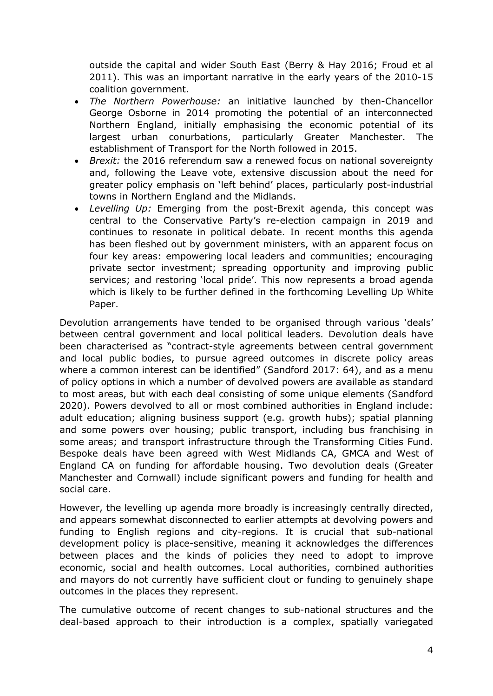outside the capital and wider South East (Berry & Hay 2016; Froud et al 2011). This was an important narrative in the early years of the 2010-15 coalition government.

- *The Northern Powerhouse:* an initiative launched by then-Chancellor George Osborne in 2014 promoting the potential of an interconnected Northern England, initially emphasising the economic potential of its largest urban conurbations, particularly Greater Manchester. The establishment of Transport for the North followed in 2015.
- *Brexit:* the 2016 referendum saw a renewed focus on national sovereignty and, following the Leave vote, extensive discussion about the need for greater policy emphasis on 'left behind' places, particularly post-industrial towns in Northern England and the Midlands.
- *Levelling Up:* Emerging from the post-Brexit agenda, this concept was central to the Conservative Party's re-election campaign in 2019 and continues to resonate in political debate. In recent months this agenda has been fleshed out by government ministers, with an apparent focus on four key areas: empowering local leaders and communities; encouraging private sector investment; spreading opportunity and improving public services; and restoring 'local pride'. This now represents a broad agenda which is likely to be further defined in the forthcoming Levelling Up White Paper.

Devolution arrangements have tended to be organised through various 'deals' between central government and local political leaders. Devolution deals have been characterised as "contract-style agreements between central government and local public bodies, to pursue agreed outcomes in discrete policy areas where a common interest can be identified" (Sandford 2017: 64), and as a menu of policy options in which a number of devolved powers are available as standard to most areas, but with each deal consisting of some unique elements (Sandford 2020). Powers devolved to all or most combined authorities in England include: adult education; aligning business support (e.g. growth hubs); spatial planning and some powers over housing; public transport, including bus franchising in some areas; and transport infrastructure through the Transforming Cities Fund. Bespoke deals have been agreed with West Midlands CA, GMCA and West of England CA on funding for affordable housing. Two devolution deals (Greater Manchester and Cornwall) include significant powers and funding for health and social care.

However, the levelling up agenda more broadly is increasingly centrally directed, and appears somewhat disconnected to earlier attempts at devolving powers and funding to English regions and city-regions. It is crucial that sub-national development policy is place-sensitive, meaning it acknowledges the differences between places and the kinds of policies they need to adopt to improve economic, social and health outcomes. Local authorities, combined authorities and mayors do not currently have sufficient clout or funding to genuinely shape outcomes in the places they represent.

The cumulative outcome of recent changes to sub-national structures and the deal-based approach to their introduction is a complex, spatially variegated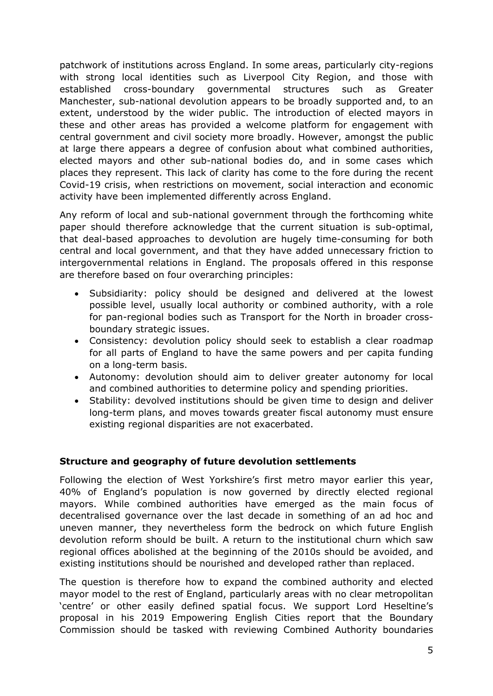patchwork of institutions across England. In some areas, particularly city-regions with strong local identities such as Liverpool City Region, and those with established cross-boundary governmental structures such as Greater Manchester, sub-national devolution appears to be broadly supported and, to an extent, understood by the wider public. The introduction of elected mayors in these and other areas has provided a welcome platform for engagement with central government and civil society more broadly. However, amongst the public at large there appears a degree of confusion about what combined authorities, elected mayors and other sub-national bodies do, and in some cases which places they represent. This lack of clarity has come to the fore during the recent Covid-19 crisis, when restrictions on movement, social interaction and economic activity have been implemented differently across England.

Any reform of local and sub-national government through the forthcoming white paper should therefore acknowledge that the current situation is sub-optimal, that deal-based approaches to devolution are hugely time-consuming for both central and local government, and that they have added unnecessary friction to intergovernmental relations in England. The proposals offered in this response are therefore based on four overarching principles:

- Subsidiarity: policy should be designed and delivered at the lowest possible level, usually local authority or combined authority, with a role for pan-regional bodies such as Transport for the North in broader crossboundary strategic issues.
- Consistency: devolution policy should seek to establish a clear roadmap for all parts of England to have the same powers and per capita funding on a long-term basis.
- Autonomy: devolution should aim to deliver greater autonomy for local and combined authorities to determine policy and spending priorities.
- Stability: devolved institutions should be given time to design and deliver long-term plans, and moves towards greater fiscal autonomy must ensure existing regional disparities are not exacerbated.

#### **Structure and geography of future devolution settlements**

Following the election of West Yorkshire's first metro mayor earlier this year, 40% of England's population is now governed by directly elected regional mayors. While combined authorities have emerged as the main focus of decentralised governance over the last decade in something of an ad hoc and uneven manner, they nevertheless form the bedrock on which future English devolution reform should be built. A return to the institutional churn which saw regional offices abolished at the beginning of the 2010s should be avoided, and existing institutions should be nourished and developed rather than replaced.

The question is therefore how to expand the combined authority and elected mayor model to the rest of England, particularly areas with no clear metropolitan 'centre' or other easily defined spatial focus. We support Lord Heseltine's proposal in his 2019 Empowering English Cities report that the Boundary Commission should be tasked with reviewing Combined Authority boundaries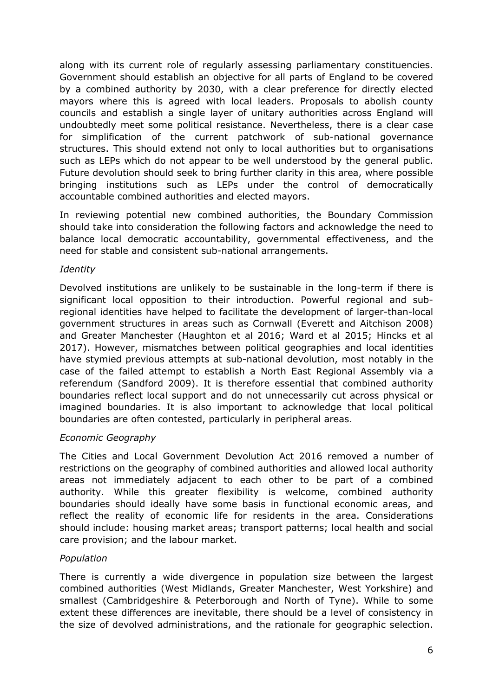along with its current role of regularly assessing parliamentary constituencies. Government should establish an objective for all parts of England to be covered by a combined authority by 2030, with a clear preference for directly elected mayors where this is agreed with local leaders. Proposals to abolish county councils and establish a single layer of unitary authorities across England will undoubtedly meet some political resistance. Nevertheless, there is a clear case for simplification of the current patchwork of sub-national governance structures. This should extend not only to local authorities but to organisations such as LEPs which do not appear to be well understood by the general public. Future devolution should seek to bring further clarity in this area, where possible bringing institutions such as LEPs under the control of democratically accountable combined authorities and elected mayors.

In reviewing potential new combined authorities, the Boundary Commission should take into consideration the following factors and acknowledge the need to balance local democratic accountability, governmental effectiveness, and the need for stable and consistent sub-national arrangements.

#### *Identity*

Devolved institutions are unlikely to be sustainable in the long-term if there is significant local opposition to their introduction. Powerful regional and subregional identities have helped to facilitate the development of larger-than-local government structures in areas such as Cornwall (Everett and Aitchison 2008) and Greater Manchester (Haughton et al 2016; Ward et al 2015; Hincks et al 2017). However, mismatches between political geographies and local identities have stymied previous attempts at sub-national devolution, most notably in the case of the failed attempt to establish a North East Regional Assembly via a referendum (Sandford 2009). It is therefore essential that combined authority boundaries reflect local support and do not unnecessarily cut across physical or imagined boundaries. It is also important to acknowledge that local political boundaries are often contested, particularly in peripheral areas.

#### *Economic Geography*

The Cities and Local Government Devolution Act 2016 removed a number of restrictions on the geography of combined authorities and allowed local authority areas not immediately adjacent to each other to be part of a combined authority. While this greater flexibility is welcome, combined authority boundaries should ideally have some basis in functional economic areas, and reflect the reality of economic life for residents in the area. Considerations should include: housing market areas; transport patterns; local health and social care provision; and the labour market.

#### *Population*

There is currently a wide divergence in population size between the largest combined authorities (West Midlands, Greater Manchester, West Yorkshire) and smallest (Cambridgeshire & Peterborough and North of Tyne). While to some extent these differences are inevitable, there should be a level of consistency in the size of devolved administrations, and the rationale for geographic selection.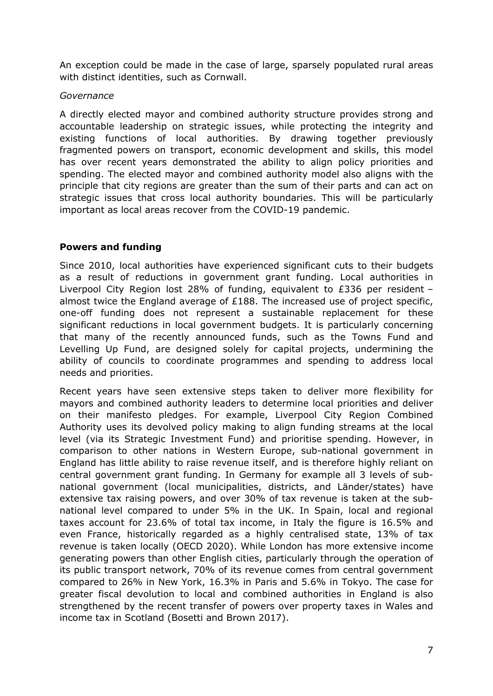An exception could be made in the case of large, sparsely populated rural areas with distinct identities, such as Cornwall.

#### *Governance*

A directly elected mayor and combined authority structure provides strong and accountable leadership on strategic issues, while protecting the integrity and existing functions of local authorities. By drawing together previously fragmented powers on transport, economic development and skills, this model has over recent years demonstrated the ability to align policy priorities and spending. The elected mayor and combined authority model also aligns with the principle that city regions are greater than the sum of their parts and can act on strategic issues that cross local authority boundaries. This will be particularly important as local areas recover from the COVID-19 pandemic.

## **Powers and funding**

Since 2010, local authorities have experienced significant cuts to their budgets as a result of reductions in government grant funding. Local authorities in Liverpool City Region lost 28% of funding, equivalent to £336 per resident – almost twice the England average of £188. The increased use of project specific, one-off funding does not represent a sustainable replacement for these significant reductions in local government budgets. It is particularly concerning that many of the recently announced funds, such as the Towns Fund and Levelling Up Fund, are designed solely for capital projects, undermining the ability of councils to coordinate programmes and spending to address local needs and priorities.

Recent years have seen extensive steps taken to deliver more flexibility for mayors and combined authority leaders to determine local priorities and deliver on their manifesto pledges. For example, Liverpool City Region Combined Authority uses its devolved policy making to align funding streams at the local level (via its Strategic Investment Fund) and prioritise spending. However, in comparison to other nations in Western Europe, sub-national government in England has little ability to raise revenue itself, and is therefore highly reliant on central government grant funding. In Germany for example all 3 levels of subnational government (local municipalities, districts, and Länder/states) have extensive tax raising powers, and over 30% of tax revenue is taken at the subnational level compared to under 5% in the UK. In Spain, local and regional taxes account for 23.6% of total tax income, in Italy the figure is 16.5% and even France, historically regarded as a highly centralised state, 13% of tax revenue is taken locally (OECD 2020). While London has more extensive income generating powers than other English cities, particularly through the operation of its public transport network, 70% of its revenue comes from central government compared to 26% in New York, 16.3% in Paris and 5.6% in Tokyo. The case for greater fiscal devolution to local and combined authorities in England is also strengthened by the recent transfer of powers over property taxes in Wales and income tax in Scotland (Bosetti and Brown 2017).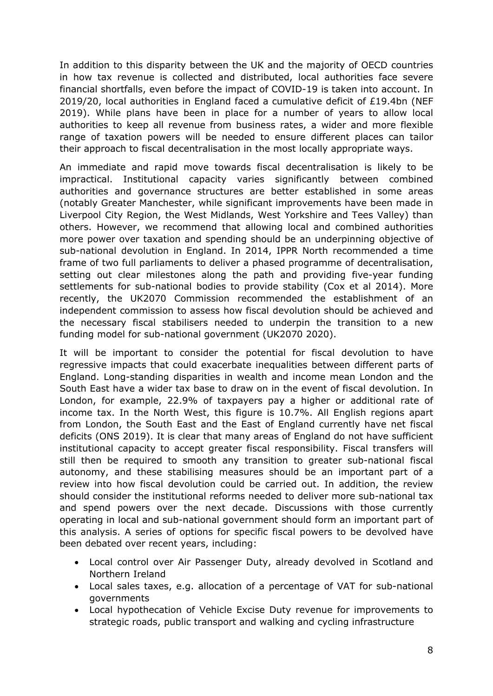In addition to this disparity between the UK and the majority of OECD countries in how tax revenue is collected and distributed, local authorities face severe financial shortfalls, even before the impact of COVID-19 is taken into account. In 2019/20, local authorities in England faced a cumulative deficit of £19.4bn (NEF 2019). While plans have been in place for a number of years to allow local authorities to keep all revenue from business rates, a wider and more flexible range of taxation powers will be needed to ensure different places can tailor their approach to fiscal decentralisation in the most locally appropriate ways.

An immediate and rapid move towards fiscal decentralisation is likely to be impractical. Institutional capacity varies significantly between combined authorities and governance structures are better established in some areas (notably Greater Manchester, while significant improvements have been made in Liverpool City Region, the West Midlands, West Yorkshire and Tees Valley) than others. However, we recommend that allowing local and combined authorities more power over taxation and spending should be an underpinning objective of sub-national devolution in England. In 2014, IPPR North recommended a time frame of two full parliaments to deliver a phased programme of decentralisation, setting out clear milestones along the path and providing five-year funding settlements for sub-national bodies to provide stability (Cox et al 2014). More recently, the UK2070 Commission recommended the establishment of an independent commission to assess how fiscal devolution should be achieved and the necessary fiscal stabilisers needed to underpin the transition to a new funding model for sub-national government (UK2070 2020).

It will be important to consider the potential for fiscal devolution to have regressive impacts that could exacerbate inequalities between different parts of England. Long-standing disparities in wealth and income mean London and the South East have a wider tax base to draw on in the event of fiscal devolution. In London, for example, 22.9% of taxpayers pay a higher or additional rate of income tax. In the North West, this figure is 10.7%. All English regions apart from London, the South East and the East of England currently have net fiscal deficits (ONS 2019). It is clear that many areas of England do not have sufficient institutional capacity to accept greater fiscal responsibility. Fiscal transfers will still then be required to smooth any transition to greater sub-national fiscal autonomy, and these stabilising measures should be an important part of a review into how fiscal devolution could be carried out. In addition, the review should consider the institutional reforms needed to deliver more sub-national tax and spend powers over the next decade. Discussions with those currently operating in local and sub-national government should form an important part of this analysis. A series of options for specific fiscal powers to be devolved have been debated over recent years, including:

- Local control over Air Passenger Duty, already devolved in Scotland and Northern Ireland
- Local sales taxes, e.g. allocation of a percentage of VAT for sub-national governments
- Local hypothecation of Vehicle Excise Duty revenue for improvements to strategic roads, public transport and walking and cycling infrastructure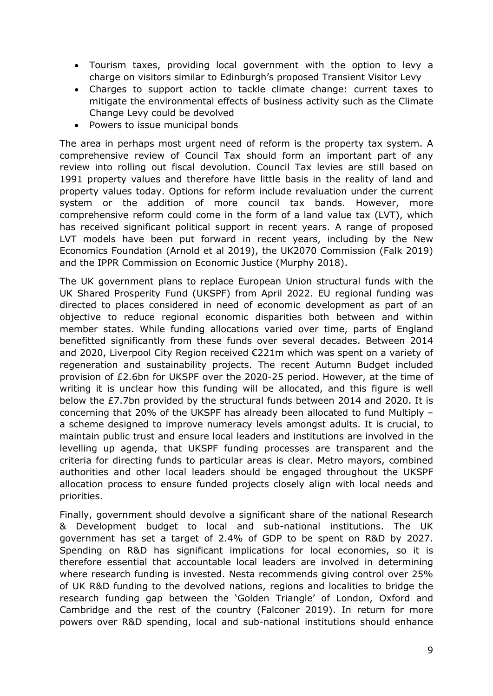- Tourism taxes, providing local government with the option to levy a charge on visitors similar to Edinburgh's proposed Transient Visitor Levy
- Charges to support action to tackle climate change: current taxes to mitigate the environmental effects of business activity such as the Climate Change Levy could be devolved
- Powers to issue municipal bonds

The area in perhaps most urgent need of reform is the property tax system. A comprehensive review of Council Tax should form an important part of any review into rolling out fiscal devolution. Council Tax levies are still based on 1991 property values and therefore have little basis in the reality of land and property values today. Options for reform include revaluation under the current system or the addition of more council tax bands. However, more comprehensive reform could come in the form of a land value tax (LVT), which has received significant political support in recent years. A range of proposed LVT models have been put forward in recent years, including by the New Economics Foundation (Arnold et al 2019), the UK2070 Commission (Falk 2019) and the IPPR Commission on Economic Justice (Murphy 2018).

The UK government plans to replace European Union structural funds with the UK Shared Prosperity Fund (UKSPF) from April 2022. EU regional funding was directed to places considered in need of economic development as part of an objective to reduce regional economic disparities both between and within member states. While funding allocations varied over time, parts of England benefitted significantly from these funds over several decades. Between 2014 and 2020, Liverpool City Region received €221m which was spent on a variety of regeneration and sustainability projects. The recent Autumn Budget included provision of £2.6bn for UKSPF over the 2020-25 period. However, at the time of writing it is unclear how this funding will be allocated, and this figure is well below the £7.7bn provided by the structural funds between 2014 and 2020. It is concerning that 20% of the UKSPF has already been allocated to fund Multiply – a scheme designed to improve numeracy levels amongst adults. It is crucial, to maintain public trust and ensure local leaders and institutions are involved in the levelling up agenda, that UKSPF funding processes are transparent and the criteria for directing funds to particular areas is clear. Metro mayors, combined authorities and other local leaders should be engaged throughout the UKSPF allocation process to ensure funded projects closely align with local needs and priorities.

Finally, government should devolve a significant share of the national Research & Development budget to local and sub-national institutions. The UK government has set a target of 2.4% of GDP to be spent on R&D by 2027. Spending on R&D has significant implications for local economies, so it is therefore essential that accountable local leaders are involved in determining where research funding is invested. Nesta recommends giving control over 25% of UK R&D funding to the devolved nations, regions and localities to bridge the research funding gap between the 'Golden Triangle' of London, Oxford and Cambridge and the rest of the country (Falconer 2019). In return for more powers over R&D spending, local and sub-national institutions should enhance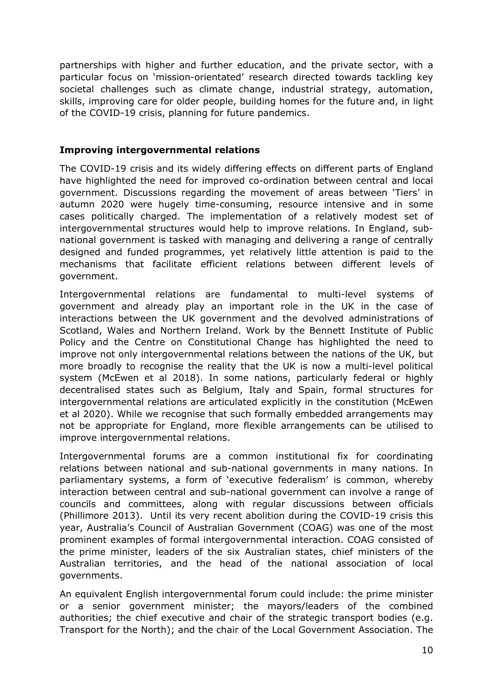partnerships with higher and further education, and the private sector, with a particular focus on 'mission-orientated' research directed towards tackling key societal challenges such as climate change, industrial strategy, automation, skills, improving care for older people, building homes for the future and, in light of the COVID-19 crisis, planning for future pandemics.

#### **Improving intergovernmental relations**

The COVID-19 crisis and its widely differing effects on different parts of England have highlighted the need for improved co-ordination between central and local government. Discussions regarding the movement of areas between 'Tiers' in autumn 2020 were hugely time-consuming, resource intensive and in some cases politically charged. The implementation of a relatively modest set of intergovernmental structures would help to improve relations. In England, subnational government is tasked with managing and delivering a range of centrally designed and funded programmes, yet relatively little attention is paid to the mechanisms that facilitate efficient relations between different levels of government.

Intergovernmental relations are fundamental to multi-level systems of government and already play an important role in the UK in the case of interactions between the UK government and the devolved administrations of Scotland, Wales and Northern Ireland. Work by the Bennett Institute of Public Policy and the Centre on Constitutional Change has highlighted the need to improve not only intergovernmental relations between the nations of the UK, but more broadly to recognise the reality that the UK is now a multi-level political system (McEwen et al 2018). In some nations, particularly federal or highly decentralised states such as Belgium, Italy and Spain, formal structures for intergovernmental relations are articulated explicitly in the constitution (McEwen et al 2020). While we recognise that such formally embedded arrangements may not be appropriate for England, more flexible arrangements can be utilised to improve intergovernmental relations.

Intergovernmental forums are a common institutional fix for coordinating relations between national and sub-national governments in many nations. In parliamentary systems, a form of 'executive federalism' is common, whereby interaction between central and sub-national government can involve a range of councils and committees, along with regular discussions between officials (Phillimore 2013). Until its very recent abolition during the COVID-19 crisis this year, Australia's Council of Australian Government (COAG) was one of the most prominent examples of formal intergovernmental interaction. COAG consisted of the prime minister, leaders of the six Australian states, chief ministers of the Australian territories, and the head of the national association of local governments.

An equivalent English intergovernmental forum could include: the prime minister or a senior government minister; the mayors/leaders of the combined authorities; the chief executive and chair of the strategic transport bodies (e.g. Transport for the North); and the chair of the Local Government Association. The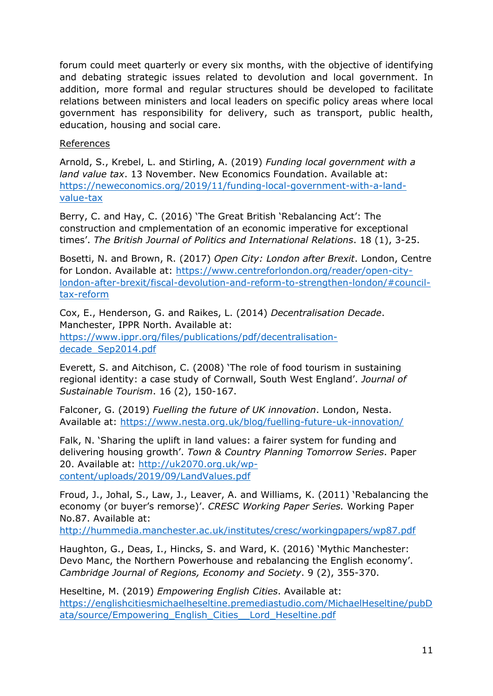forum could meet quarterly or every six months, with the objective of identifying and debating strategic issues related to devolution and local government. In addition, more formal and regular structures should be developed to facilitate relations between ministers and local leaders on specific policy areas where local government has responsibility for delivery, such as transport, public health, education, housing and social care.

## References

Arnold, S., Krebel, L. and Stirling, A. (2019) *Funding local government with a land value tax*. 13 November. New Economics Foundation. Available at: [https://neweconomics.org/2019/11/funding-local-government-with-a-land](https://neweconomics.org/2019/11/funding-local-government-with-a-land-value-tax)[value-tax](https://neweconomics.org/2019/11/funding-local-government-with-a-land-value-tax)

Berry, C. and Hay, C. (2016) 'The Great British 'Rebalancing Act': The construction and cmplementation of an economic imperative for exceptional times'. *The British Journal of Politics and International Relations*. 18 (1), 3-25.

Bosetti, N. and Brown, R. (2017) *Open City: London after Brexit*. London, Centre for London. Available at: [https://www.centreforlondon.org/reader/open-city](https://www.centreforlondon.org/reader/open-city-london-after-brexit/fiscal-devolution-and-reform-to-strengthen-london/#council-tax-reform)[london-after-brexit/fiscal-devolution-and-reform-to-strengthen-london/#council](https://www.centreforlondon.org/reader/open-city-london-after-brexit/fiscal-devolution-and-reform-to-strengthen-london/#council-tax-reform)[tax-reform](https://www.centreforlondon.org/reader/open-city-london-after-brexit/fiscal-devolution-and-reform-to-strengthen-london/#council-tax-reform)

Cox, E., Henderson, G. and Raikes, L. (2014) *Decentralisation Decade*. Manchester, IPPR North. Available at: [https://www.ippr.org/files/publications/pdf/decentralisation](https://www.ippr.org/files/publications/pdf/decentralisation-decade_Sep2014.pdf)[decade\\_Sep2014.pdf](https://www.ippr.org/files/publications/pdf/decentralisation-decade_Sep2014.pdf)

Everett, S. and Aitchison, C. (2008) 'The role of food tourism in sustaining regional identity: a case study of Cornwall, South West England'. *Journal of Sustainable Tourism*. 16 (2), 150-167.

Falconer, G. (2019) *Fuelling the future of UK innovation*. London, Nesta. Available at: <https://www.nesta.org.uk/blog/fuelling-future-uk-innovation/>

Falk, N. 'Sharing the uplift in land values: a fairer system for funding and delivering housing growth'. *Town & Country Planning Tomorrow Series*. Paper 20. Available at: [http://uk2070.org.uk/wp](http://uk2070.org.uk/wp-content/uploads/2019/09/LandValues.pdf)[content/uploads/2019/09/LandValues.pdf](http://uk2070.org.uk/wp-content/uploads/2019/09/LandValues.pdf)

Froud, J., Johal, S., Law, J., Leaver, A. and Williams, K. (2011) 'Rebalancing the economy (or buyer's remorse)'. *CRESC Working Paper Series.* Working Paper No.87. Available at:

<http://hummedia.manchester.ac.uk/institutes/cresc/workingpapers/wp87.pdf>

Haughton, G., Deas, I., Hincks, S. and Ward, K. (2016) 'Mythic Manchester: Devo Manc, the Northern Powerhouse and rebalancing the English economy'. *Cambridge Journal of Regions, Economy and Society*. 9 (2), 355-370.

Heseltine, M. (2019) *Empowering English Cities*. Available at: [https://englishcitiesmichaelheseltine.premediastudio.com/MichaelHeseltine/pubD](https://englishcitiesmichaelheseltine.premediastudio.com/MichaelHeseltine/pubData/source/Empowering_English_Cities__Lord_Heseltine.pdf) [ata/source/Empowering\\_English\\_Cities\\_\\_Lord\\_Heseltine.pdf](https://englishcitiesmichaelheseltine.premediastudio.com/MichaelHeseltine/pubData/source/Empowering_English_Cities__Lord_Heseltine.pdf)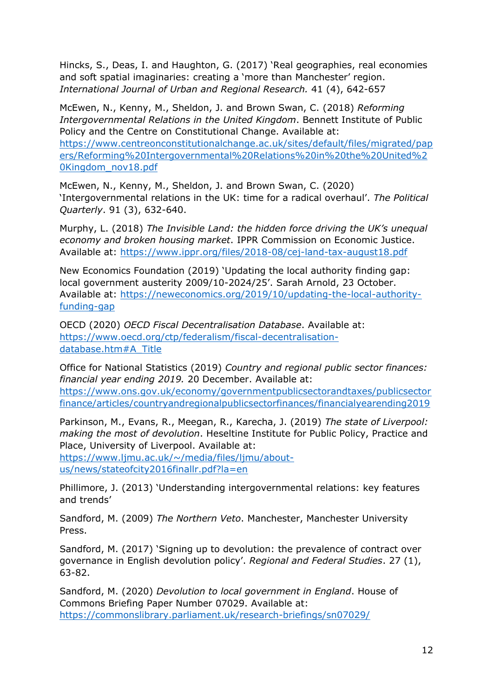Hincks, S., Deas, I. and Haughton, G. (2017) 'Real geographies, real economies and soft spatial imaginaries: creating a 'more than Manchester' region. *International Journal of Urban and Regional Research.* 41 (4), 642-657

McEwen, N., Kenny, M., Sheldon, J. and Brown Swan, C. (2018) *Reforming Intergovernmental Relations in the United Kingdom*. Bennett Institute of Public Policy and the Centre on Constitutional Change. Available at: [https://www.centreonconstitutionalchange.ac.uk/sites/default/files/migrated/pap](https://www.centreonconstitutionalchange.ac.uk/sites/default/files/migrated/papers/Reforming%20Intergovernmental%20Relations%20in%20the%20United%20Kingdom_nov18.pdf) [ers/Reforming%20Intergovernmental%20Relations%20in%20the%20United%2](https://www.centreonconstitutionalchange.ac.uk/sites/default/files/migrated/papers/Reforming%20Intergovernmental%20Relations%20in%20the%20United%20Kingdom_nov18.pdf) [0Kingdom\\_nov18.pdf](https://www.centreonconstitutionalchange.ac.uk/sites/default/files/migrated/papers/Reforming%20Intergovernmental%20Relations%20in%20the%20United%20Kingdom_nov18.pdf)

McEwen, N., Kenny, M., Sheldon, J. and Brown Swan, C. (2020) 'Intergovernmental relations in the UK: time for a radical overhaul'. *The Political Quarterly*. 91 (3), 632-640.

Murphy, L. (2018) *The Invisible Land: the hidden force driving the UK's unequal economy and broken housing market*. IPPR Commission on Economic Justice. Available at: <https://www.ippr.org/files/2018-08/cej-land-tax-august18.pdf>

New Economics Foundation (2019) 'Updating the local authority finding gap: local government austerity 2009/10-2024/25'. Sarah Arnold, 23 October. Available at: [https://neweconomics.org/2019/10/updating-the-local-authority](https://neweconomics.org/2019/10/updating-the-local-authority-funding-gap)[funding-gap](https://neweconomics.org/2019/10/updating-the-local-authority-funding-gap)

OECD (2020) *OECD Fiscal Decentralisation Database*. Available at: [https://www.oecd.org/ctp/federalism/fiscal-decentralisation](https://www.oecd.org/ctp/federalism/fiscal-decentralisation-database.htm#A_Title)[database.htm#A\\_Title](https://www.oecd.org/ctp/federalism/fiscal-decentralisation-database.htm#A_Title)

Office for National Statistics (2019) *Country and regional public sector finances: financial year ending 2019.* 20 December. Available at: [https://www.ons.gov.uk/economy/governmentpublicsectorandtaxes/publicsector](https://www.ons.gov.uk/economy/governmentpublicsectorandtaxes/publicsectorfinance/articles/countryandregionalpublicsectorfinances/financialyearending2019) [finance/articles/countryandregionalpublicsectorfinances/financialyearending2019](https://www.ons.gov.uk/economy/governmentpublicsectorandtaxes/publicsectorfinance/articles/countryandregionalpublicsectorfinances/financialyearending2019)

Parkinson, M., Evans, R., Meegan, R., Karecha, J. (2019) *The state of Liverpool: making the most of devolution*. Heseltine Institute for Public Policy, Practice and Place, University of Liverpool. Available at:

[https://www.ljmu.ac.uk/~/media/files/ljmu/about](https://www.ljmu.ac.uk/~/media/files/ljmu/about-us/news/stateofcity2016finallr.pdf?la=en)[us/news/stateofcity2016finallr.pdf?la=en](https://www.ljmu.ac.uk/~/media/files/ljmu/about-us/news/stateofcity2016finallr.pdf?la=en)

Phillimore, J. (2013) 'Understanding intergovernmental relations: key features and trends'

Sandford, M. (2009) *The Northern Veto*. Manchester, Manchester University Press.

Sandford, M. (2017) 'Signing up to devolution: the prevalence of contract over governance in English devolution policy'. *Regional and Federal Studies*. 27 (1), 63-82.

Sandford, M. (2020) *Devolution to local government in England*. House of Commons Briefing Paper Number 07029. Available at: <https://commonslibrary.parliament.uk/research-briefings/sn07029/>